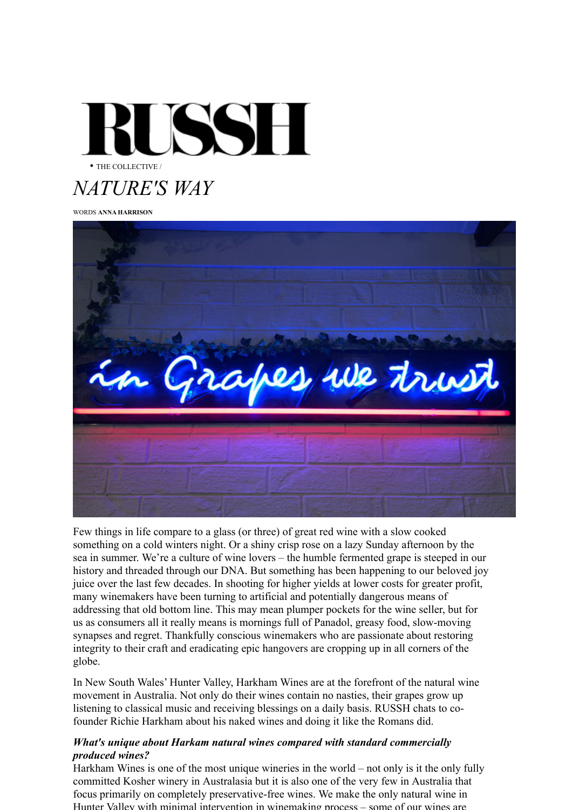

# *NATURE'S WAY*

WORDS **ANNA HARRISON**



Few things in life compare to a glass (or three) of great red wine with a slow cooked something on a cold winters night. Or a shiny crisp rose on a lazy Sunday afternoon by the sea in summer. We're a culture of wine lovers – the humble fermented grape is steeped in our history and threaded through our DNA. But something has been happening to our beloved joy juice over the last few decades. In shooting for higher yields at lower costs for greater profit, many winemakers have been turning to artificial and potentially dangerous means of addressing that old bottom line. This may mean plumper pockets for the wine seller, but for us as consumers all it really means is mornings full of Panadol, greasy food, slow-moving synapses and regret. Thankfully conscious winemakers who are passionate about restoring integrity to their craft and eradicating epic hangovers are cropping up in all corners of the globe.

In New South Wales' Hunter Valley, Harkham Wines are at the forefront of the natural wine movement in Australia. Not only do their wines contain no nasties, their grapes grow up listening to classical music and receiving blessings on a daily basis. RUSSH chats to cofounder Richie Harkham about his naked wines and doing it like the Romans did.

## *What's unique about Harkam natural wines compared with standard commercially produced wines?*

Harkham Wines is one of the most unique wineries in the world – not only is it the only fully committed Kosher winery in Australasia but it is also one of the very few in Australia that focus primarily on completely preservative-free wines. We make the only natural wine in Hunter Valley with minimal intervention in winemaking process – some of our wines are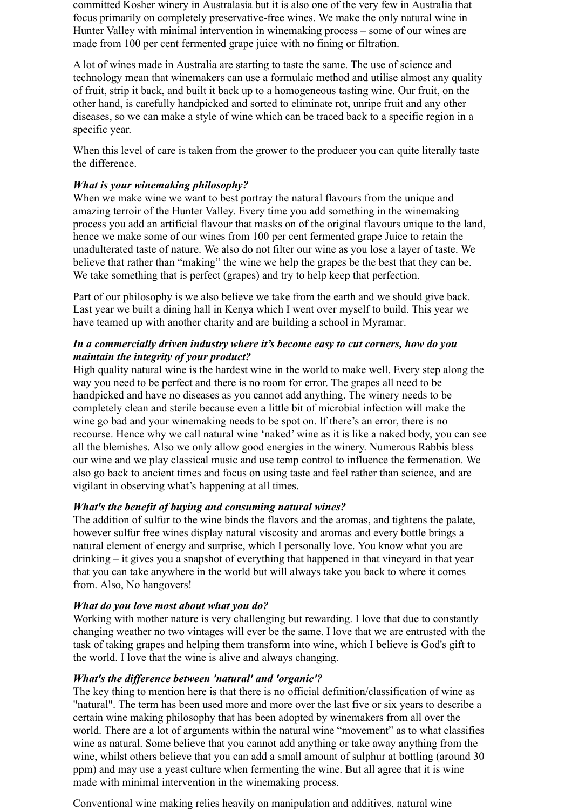committed Kosher winery in Australasia but it is also one of the very few in Australia that focus primarily on completely preservative-free wines. We make the only natural wine in Hunter Valley with minimal intervention in winemaking process – some of our wines are made from 100 per cent fermented grape juice with no fining or filtration.

A lot of wines made in Australia are starting to taste the same. The use of science and technology mean that winemakers can use a formulaic method and utilise almost any quality of fruit, strip it back, and built it back up to a homogeneous tasting wine. Our fruit, on the other hand, is carefully handpicked and sorted to eliminate rot, unripe fruit and any other diseases, so we can make a style of wine which can be traced back to a specific region in a specific year.

When this level of care is taken from the grower to the producer you can quite literally taste the difference.

#### *What is your winemaking philosophy?*

When we make wine we want to best portray the natural flavours from the unique and amazing terroir of the Hunter Valley. Every time you add something in the winemaking process you add an artificial flavour that masks on of the original flavours unique to the land, hence we make some of our wines from 100 per cent fermented grape Juice to retain the unadulterated taste of nature. We also do not filter our wine as you lose a layer of taste. We believe that rather than "making" the wine we help the grapes be the best that they can be. We take something that is perfect (grapes) and try to help keep that perfection.

Part of our philosophy is we also believe we take from the earth and we should give back. Last year we built a dining hall in Kenya which I went over myself to build. This year we have teamed up with another charity and are building a school in Myramar.

#### *In a commercially driven industry where it's become easy to cut corners, how do you maintain the integrity of your product?*

High quality natural wine is the hardest wine in the world to make well. Every step along the way you need to be perfect and there is no room for error. The grapes all need to be handpicked and have no diseases as you cannot add anything. The winery needs to be completely clean and sterile because even a little bit of microbial infection will make the wine go bad and your winemaking needs to be spot on. If there's an error, there is no recourse. Hence why we call natural wine 'naked' wine as it is like a naked body, you can see all the blemishes. Also we only allow good energies in the winery. Numerous Rabbis bless our wine and we play classical music and use temp control to influence the fermenation. We also go back to ancient times and focus on using taste and feel rather than science, and are vigilant in observing what's happening at all times.

#### *What's the benefit of buying and consuming natural wines?*

The addition of sulfur to the wine binds the flavors and the aromas, and tightens the palate, however sulfur free wines display natural viscosity and aromas and every bottle brings a natural element of energy and surprise, which I personally love. You know what you are drinking – it gives you a snapshot of everything that happened in that vineyard in that year that you can take anywhere in the world but will always take you back to where it comes from. Also, No hangovers!

#### *What do you love most about what you do?*

Working with mother nature is very challenging but rewarding. I love that due to constantly changing weather no two vintages will ever be the same. I love that we are entrusted with the task of taking grapes and helping them transform into wine, which I believe is God's gift to the world. I love that the wine is alive and always changing.

#### *What's the difference between 'natural' and 'organic'?*

The key thing to mention here is that there is no official definition/classification of wine as "natural". The term has been used more and more over the last five or six years to describe a certain wine making philosophy that has been adopted by winemakers from all over the world. There are a lot of arguments within the natural wine "movement" as to what classifies wine as natural. Some believe that you cannot add anything or take away anything from the wine, whilst others believe that you can add a small amount of sulphur at bottling (around 30 ppm) and may use a yeast culture when fermenting the wine. But all agree that it is wine made with minimal intervention in the winemaking process.

Conventional wine making relies heavily on manipulation and additives, natural wine